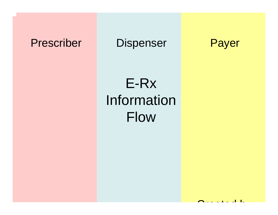## Prescriber Dispenser Payer



## E-Rx Information Flow

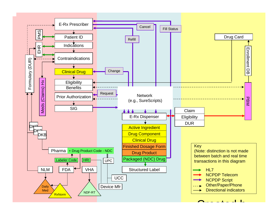